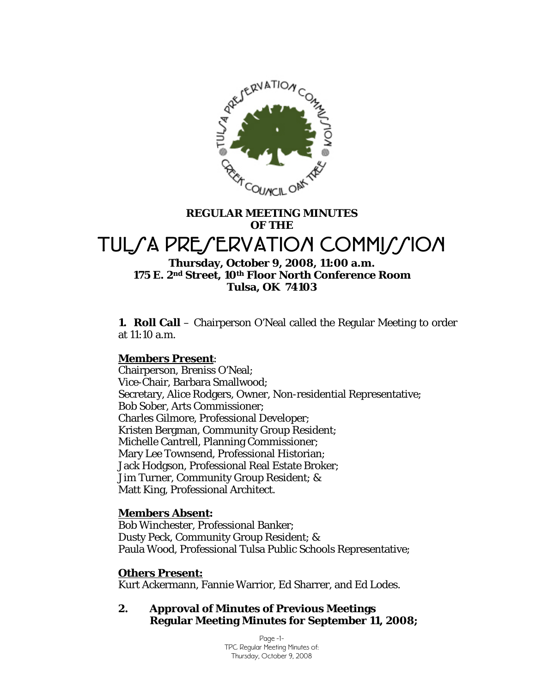

# **REGULAR MEETING MINUTES OF THE**  TUL*SA PRESERVATION COMMISSION*

# **Thursday, October 9, 2008, 11:00 a.m. 175 E. 2nd Street, 10th Floor North Conference Room Tulsa, OK 74103**

**1. Roll Call** – Chairperson O'Neal called the Regular Meeting to order at 11:10 a.m.

# **Members Present**:

Chairperson, Breniss O'Neal; Vice-Chair, Barbara Smallwood; Secretary, Alice Rodgers, Owner, Non-residential Representative; Bob Sober, Arts Commissioner; Charles Gilmore, Professional Developer; Kristen Bergman, Community Group Resident; Michelle Cantrell, Planning Commissioner; Mary Lee Townsend, Professional Historian; Jack Hodgson, Professional Real Estate Broker; Jim Turner, Community Group Resident; & Matt King, Professional Architect.

# **Members Absent:**

Bob Winchester, Professional Banker; Dusty Peck, Community Group Resident; & Paula Wood, Professional Tulsa Public Schools Representative;

# **Others Present:**

Kurt Ackermann, Fannie Warrior, Ed Sharrer, and Ed Lodes.

# **2. Approval of Minutes of Previous Meetings Regular Meeting Minutes for September 11, 2008;**

Page -1- TPC Regular Meeting Minutes of: Thursday, October 9, 2008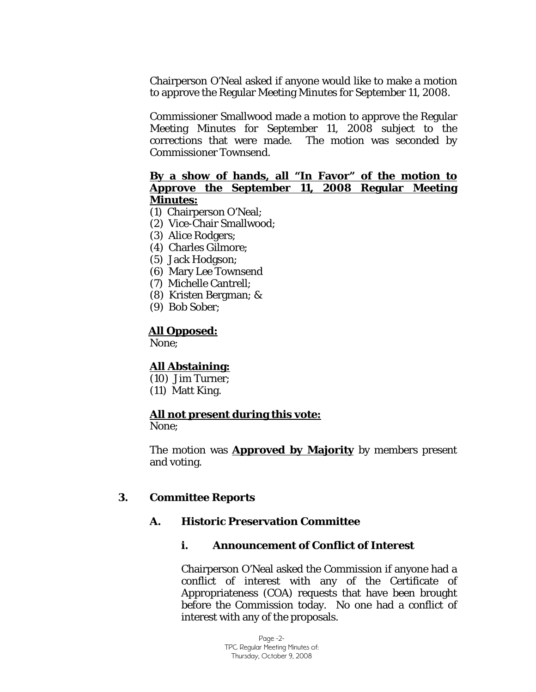Chairperson O'Neal asked if anyone would like to make a motion to approve the Regular Meeting Minutes for September 11, 2008.

Commissioner Smallwood made a motion to approve the Regular Meeting Minutes for September 11, 2008 subject to the corrections that were made. The motion was seconded by Commissioner Townsend.

### **By a show of hands, all "In Favor" of the motion to Approve the September 11, 2008 Regular Meeting Minutes:**

- (1) Chairperson O'Neal;
- (2) Vice-Chair Smallwood;
- (3) Alice Rodgers;
- (4) Charles Gilmore;
- (5) Jack Hodgson;
- (6) Mary Lee Townsend
- (7) Michelle Cantrell;
- (8) Kristen Bergman; &
- (9) Bob Sober;

### **All Opposed:**

None;

# **All Abstaining:**

(10) Jim Turner; (11) Matt King.

### **All not present during this vote:**

None;

The motion was **Approved by Majority** by members present and voting.

### **3. Committee Reports**

### **A. Historic Preservation Committee**

### **i. Announcement of Conflict of Interest**

Chairperson O'Neal asked the Commission if anyone had a conflict of interest with any of the Certificate of Appropriateness (COA) requests that have been brought before the Commission today. No one had a conflict of interest with any of the proposals.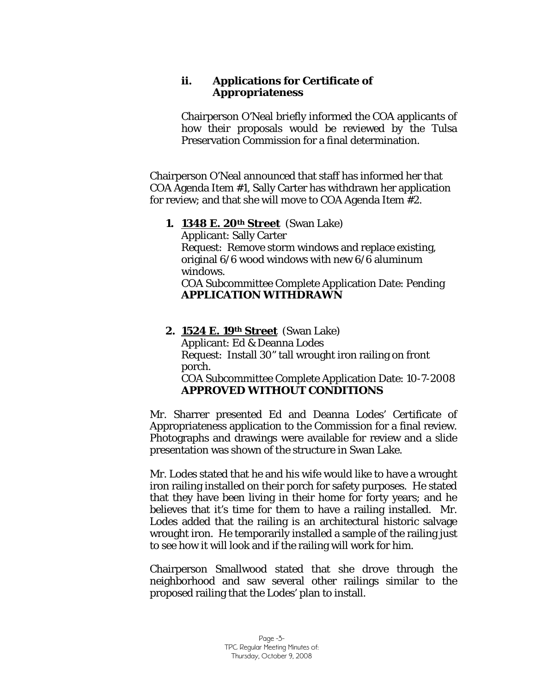# **ii. Applications for Certificate of Appropriateness**

Chairperson O'Neal briefly informed the COA applicants of how their proposals would be reviewed by the Tulsa Preservation Commission for a final determination.

Chairperson O'Neal announced that staff has informed her that COA Agenda Item #1, Sally Carter has withdrawn her application for review; and that she will move to COA Agenda Item #2.

# **1. 1348 E. 20th Street** (Swan Lake)

Applicant: Sally Carter Request: Remove storm windows and replace existing, original 6/6 wood windows with new 6/6 aluminum windows.

COA Subcommittee Complete Application Date: Pending **APPLICATION WITHDRAWN** 

**2. 1524 E. 19th Street** (Swan Lake) Applicant: Ed & Deanna Lodes Request: Install 30" tall wrought iron railing on front porch. COA Subcommittee Complete Application Date: 10-7-2008 **APPROVED WITHOUT CONDITIONS** 

Mr. Sharrer presented Ed and Deanna Lodes' Certificate of Appropriateness application to the Commission for a final review. Photographs and drawings were available for review and a slide presentation was shown of the structure in Swan Lake.

Mr. Lodes stated that he and his wife would like to have a wrought iron railing installed on their porch for safety purposes. He stated that they have been living in their home for forty years; and he believes that it's time for them to have a railing installed. Mr. Lodes added that the railing is an architectural historic salvage wrought iron. He temporarily installed a sample of the railing just to see how it will look and if the railing will work for him.

Chairperson Smallwood stated that she drove through the neighborhood and saw several other railings similar to the proposed railing that the Lodes' plan to install.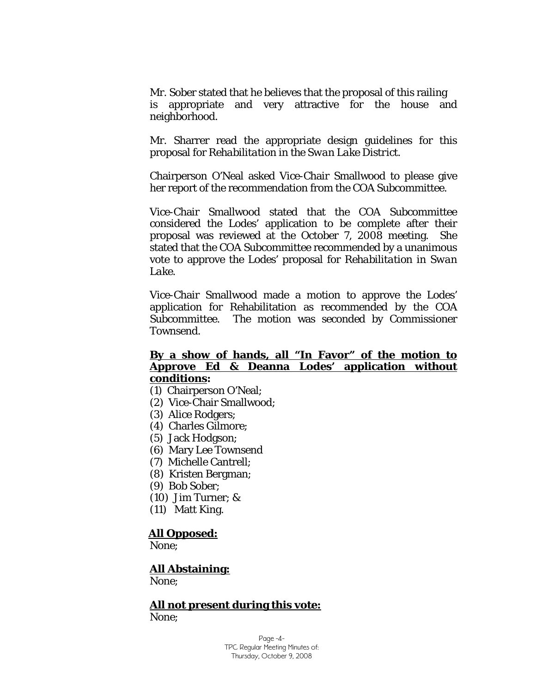Mr. Sober stated that he believes that the proposal of this railing is appropriate and very attractive for the house and neighborhood.

Mr. Sharrer read the appropriate design guidelines for this proposal for *Rehabilitation in the Swan Lake District.* 

Chairperson O'Neal asked Vice-Chair Smallwood to please give her report of the recommendation from the COA Subcommittee.

Vice-Chair Smallwood stated that the COA Subcommittee considered the Lodes' application to be complete after their proposal was reviewed at the October 7, 2008 meeting. She stated that the COA Subcommittee recommended by a unanimous vote to approve the Lodes' proposal for *Rehabilitation in Swan Lake*.

Vice-Chair Smallwood made a motion to approve the Lodes' application for Rehabilitation as recommended by the COA Subcommittee. The motion was seconded by Commissioner Townsend.

### **By a show of hands, all "In Favor" of the motion to Approve Ed & Deanna Lodes' application without conditions:**

- (1) Chairperson O'Neal;
- (2) Vice-Chair Smallwood;
- (3) Alice Rodgers;
- (4) Charles Gilmore;
- (5) Jack Hodgson;
- (6) Mary Lee Townsend
- (7) Michelle Cantrell;
- (8) Kristen Bergman;
- (9) Bob Sober;
- (10) Jim Turner; &
- (11) Matt King.

#### **All Opposed:**

None;

#### **All Abstaining:**

None;

#### **All not present during this vote:** None;

Page -4- TPC Regular Meeting Minutes of: Thursday, October 9, 2008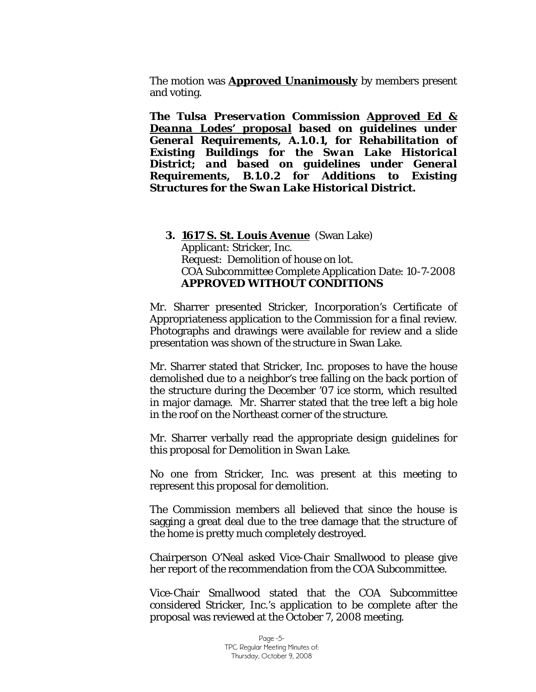The motion was **Approved Unanimously** by members present and voting.

*The Tulsa Preservation Commission Approved Ed & Deanna Lodes' proposal based on guidelines under General Requirements, A.1.0.1, for Rehabilitation of Existing Buildings for the Swan Lake Historical District; and based on guidelines under General Requirements, B.1.0.2 for Additions to Existing Structures for the Swan Lake Historical District.*

# **3. 1617 S. St. Louis Avenue** (Swan Lake) Applicant: Stricker, Inc. Request: Demolition of house on lot. COA Subcommittee Complete Application Date: 10-7-2008 **APPROVED WITHOUT CONDITIONS**

Mr. Sharrer presented Stricker, Incorporation's Certificate of Appropriateness application to the Commission for a final review. Photographs and drawings were available for review and a slide presentation was shown of the structure in Swan Lake.

Mr. Sharrer stated that Stricker, Inc. proposes to have the house demolished due to a neighbor's tree falling on the back portion of the structure during the December '07 ice storm, which resulted in major damage. Mr. Sharrer stated that the tree left a big hole in the roof on the Northeast corner of the structure.

Mr. Sharrer verbally read the appropriate design guidelines for this proposal for *Demolition in Swan Lake*.

No one from Stricker, Inc. was present at this meeting to represent this proposal for demolition.

The Commission members all believed that since the house is sagging a great deal due to the tree damage that the structure of the home is pretty much completely destroyed.

Chairperson O'Neal asked Vice-Chair Smallwood to please give her report of the recommendation from the COA Subcommittee.

Vice-Chair Smallwood stated that the COA Subcommittee considered Stricker, Inc.'s application to be complete after the proposal was reviewed at the October 7, 2008 meeting.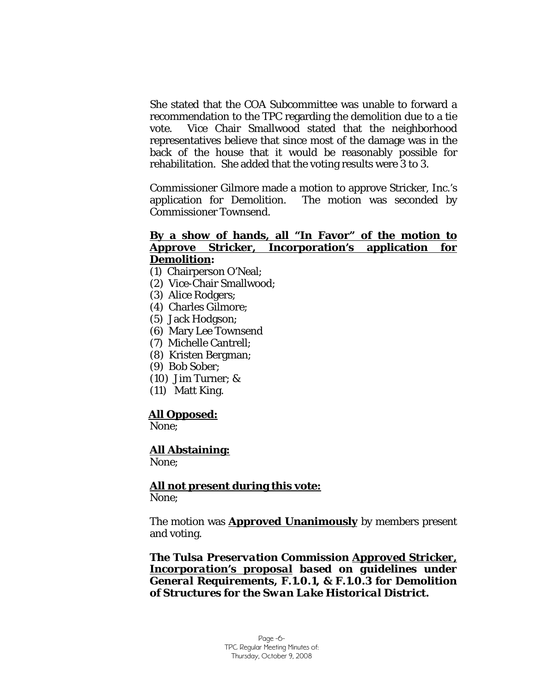She stated that the COA Subcommittee was unable to forward a recommendation to the TPC regarding the demolition due to a tie vote. Vice Chair Smallwood stated that the neighborhood representatives believe that since most of the damage was in the back of the house that it would be reasonably possible for rehabilitation. She added that the voting results were 3 to 3.

Commissioner Gilmore made a motion to approve Stricker, Inc.'s application for Demolition. The motion was seconded by Commissioner Townsend.

### **By a show of hands, all "In Favor" of the motion to Approve Stricker, Incorporation's application for Demolition:**

- (1) Chairperson O'Neal;
- (2) Vice-Chair Smallwood;
- (3) Alice Rodgers;
- (4) Charles Gilmore;
- (5) Jack Hodgson;
- (6) Mary Lee Townsend
- (7) Michelle Cantrell;
- (8) Kristen Bergman;
- (9) Bob Sober;
- (10) Jim Turner; &
- (11) Matt King.

### **All Opposed:**

None;

### **All Abstaining:**

None;

#### **All not present during this vote:** None;

The motion was **Approved Unanimously** by members present and voting.

*The Tulsa Preservation Commission Approved Stricker, Incorporation's proposal based on guidelines under General Requirements, F.1.0.1, & F.1.0.3 for Demolition of Structures for the Swan Lake Historical District.*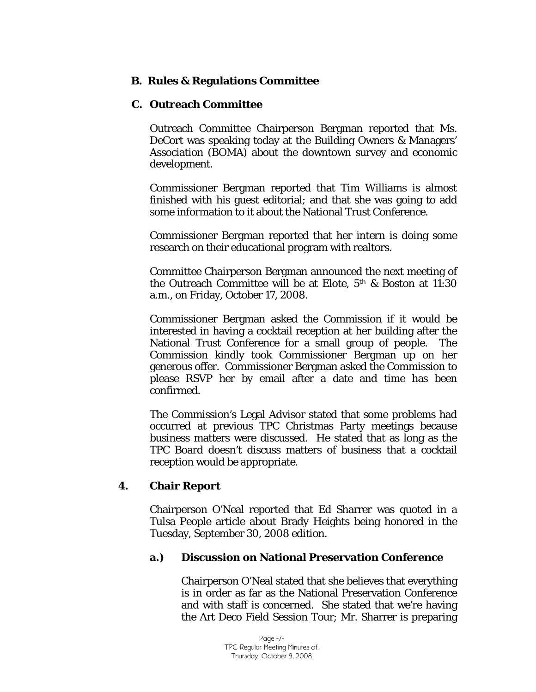# **B. Rules & Regulations Committee**

### **C. Outreach Committee**

Outreach Committee Chairperson Bergman reported that Ms. DeCort was speaking today at the Building Owners & Managers' Association (BOMA) about the downtown survey and economic development.

Commissioner Bergman reported that Tim Williams is almost finished with his guest editorial; and that she was going to add some information to it about the National Trust Conference.

Commissioner Bergman reported that her intern is doing some research on their educational program with realtors.

Committee Chairperson Bergman announced the next meeting of the Outreach Committee will be at Elote, 5th & Boston at 11:30 a.m., on Friday, October 17, 2008.

Commissioner Bergman asked the Commission if it would be interested in having a cocktail reception at her building after the National Trust Conference for a small group of people. The Commission kindly took Commissioner Bergman up on her generous offer. Commissioner Bergman asked the Commission to please RSVP her by email after a date and time has been confirmed.

The Commission's Legal Advisor stated that some problems had occurred at previous TPC Christmas Party meetings because business matters were discussed. He stated that as long as the TPC Board doesn't discuss matters of business that a cocktail reception would be appropriate.

# **4. Chair Report**

Chairperson O'Neal reported that Ed Sharrer was quoted in a Tulsa People article about Brady Heights being honored in the Tuesday, September 30, 2008 edition.

# **a.) Discussion on National Preservation Conference**

Chairperson O'Neal stated that she believes that everything is in order as far as the National Preservation Conference and with staff is concerned. She stated that we're having the Art Deco Field Session Tour; Mr. Sharrer is preparing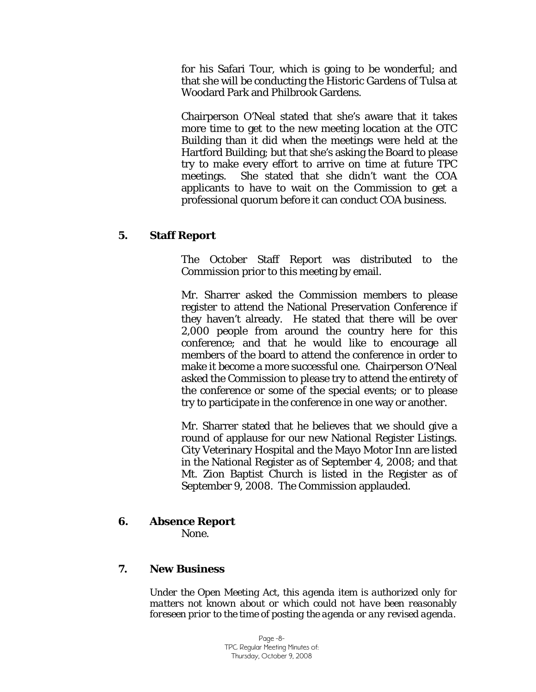for his Safari Tour, which is going to be wonderful; and that she will be conducting the Historic Gardens of Tulsa at Woodard Park and Philbrook Gardens.

Chairperson O'Neal stated that she's aware that it takes more time to get to the new meeting location at the OTC Building than it did when the meetings were held at the Hartford Building; but that she's asking the Board to please try to make every effort to arrive on time at future TPC meetings. She stated that she didn't want the COA applicants to have to wait on the Commission to get a professional quorum before it can conduct COA business.

# **5. Staff Report**

The October Staff Report was distributed to the Commission prior to this meeting by email.

Mr. Sharrer asked the Commission members to please register to attend the National Preservation Conference if they haven't already. He stated that there will be over 2,000 people from around the country here for this conference; and that he would like to encourage all members of the board to attend the conference in order to make it become a more successful one. Chairperson O'Neal asked the Commission to please try to attend the entirety of the conference or some of the special events; or to please try to participate in the conference in one way or another.

Mr. Sharrer stated that he believes that we should give a round of applause for our new National Register Listings. City Veterinary Hospital and the Mayo Motor Inn are listed in the National Register as of September 4, 2008; and that Mt. Zion Baptist Church is listed in the Register as of September 9, 2008. The Commission applauded.

# **6. Absence Report**

None.

# **7. New Business**

*Under the Open Meeting Act, this agenda item is authorized only for matters not known about or which could not have been reasonably foreseen prior to the time of posting the agenda or any revised agenda.*